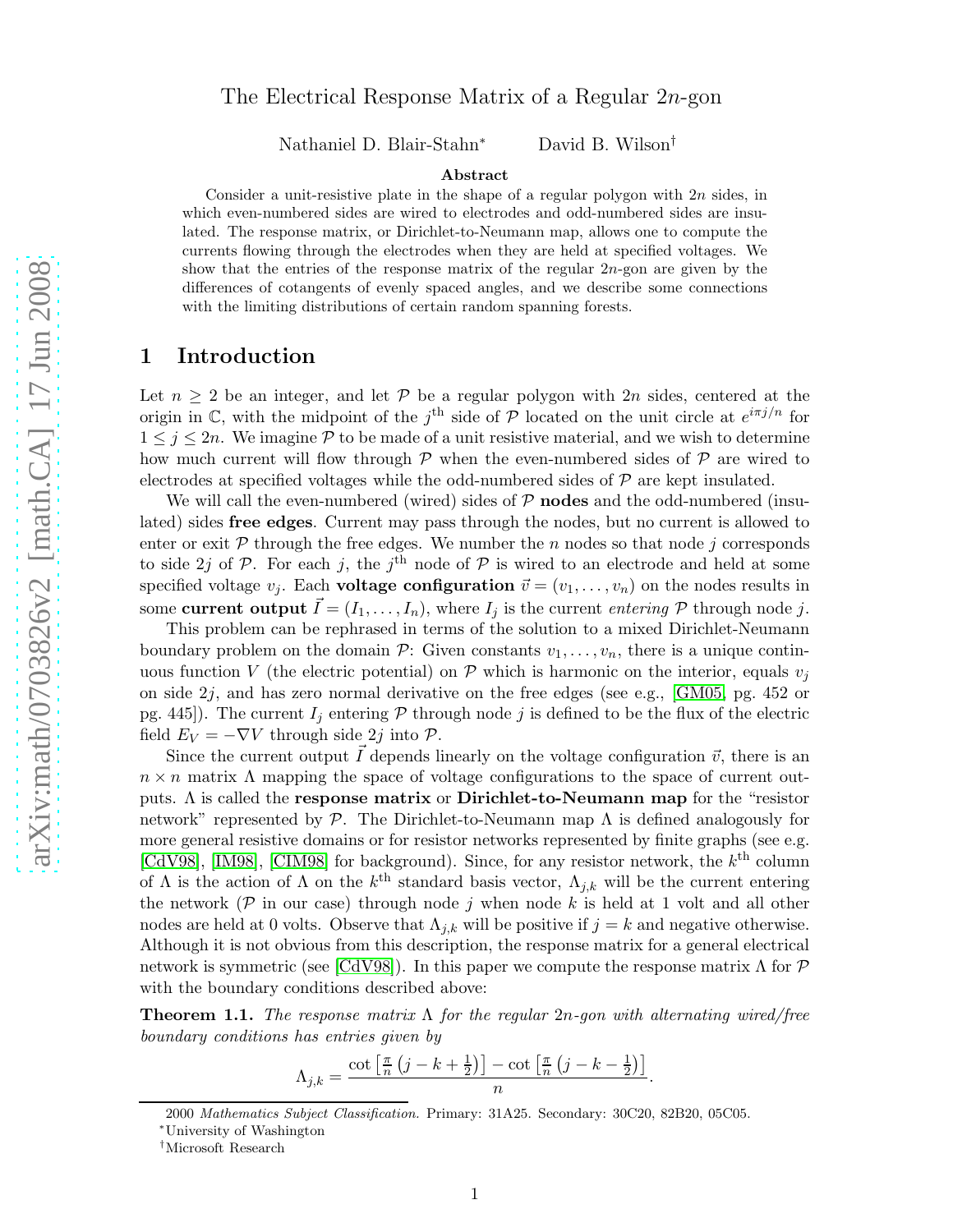# The Electrical Response Matrix of a Regular 2n-gon

Nathaniel D. Blair-Stahn<sup>∗</sup> David B. Wilson†

#### Abstract

Consider a unit-resistive plate in the shape of a regular polygon with  $2n$  sides, in which even-numbered sides are wired to electrodes and odd-numbered sides are insulated. The response matrix, or Dirichlet-to-Neumann map, allows one to compute the currents flowing through the electrodes when they are held at specified voltages. We show that the entries of the response matrix of the regular 2n-gon are given by the differences of cotangents of evenly spaced angles, and we describe some connections with the limiting distributions of certain random spanning forests.

### 1 Introduction

Let  $n \geq 2$  be an integer, and let P be a regular polygon with 2n sides, centered at the origin in C, with the midpoint of the j<sup>th</sup> side of P located on the unit circle at  $e^{i\pi j/n}$  for  $1 \leq j \leq 2n$ . We imagine P to be made of a unit resistive material, and we wish to determine how much current will flow through  $\mathcal P$  when the even-numbered sides of  $\mathcal P$  are wired to electrodes at specified voltages while the odd-numbered sides of  $\mathcal P$  are kept insulated.

We will call the even-numbered (wired) sides of  $P$  nodes and the odd-numbered (insulated) sides free edges. Current may pass through the nodes, but no current is allowed to enter or exit  $\mathcal P$  through the free edges. We number the n nodes so that node j corresponds to side 2*j* of  $P$ . For each *j*, the *j*<sup>th</sup> node of  $P$  is wired to an electrode and held at some specified voltage  $v_j$ . Each **voltage configuration**  $\vec{v} = (v_1, \dots, v_n)$  on the nodes results in some current output  $\vec{I} = (I_1, \ldots, I_n)$ , where  $I_j$  is the current entering  $P$  through node j.

This problem can be rephrased in terms of the solution to a mixed Dirichlet-Neumann boundary problem on the domain  $\mathcal{P}$ : Given constants  $v_1, \ldots, v_n$ , there is a unique continuous function V (the electric potential) on P which is harmonic on the interior, equals  $v_i$ on side  $2j$ , and has zero normal derivative on the free edges (see e.g., [\[GM05,](#page-9-0) pg. 452 or pg. 445]). The current  $I_j$  entering  $P$  through node j is defined to be the flux of the electric field  $E_V = -\nabla V$  through side 2j into  $\mathcal{P}$ .

Since the current output  $\bar{I}$  depends linearly on the voltage configuration  $\vec{v}$ , there is an  $n \times n$  matrix  $\Lambda$  mapping the space of voltage configurations to the space of current outputs.  $\Lambda$  is called the **response matrix** or **Dirichlet-to-Neumann map** for the "resistor network" represented by  $\mathcal{P}$ . The Dirichlet-to-Neumann map  $\Lambda$  is defined analogously for more general resistive domains or for resistor networks represented by finite graphs (see e.g. [\[CdV98\]](#page-8-0), [\[IM98\]](#page-9-1), [\[CIM98\]](#page-9-2) for background). Since, for any resistor network, the  $k^{\text{th}}$  column of  $\Lambda$  is the action of  $\Lambda$  on the  $k^{\text{th}}$  standard basis vector,  $\Lambda_{j,k}$  will be the current entering the network ( $P$  in our case) through node j when node k is held at 1 volt and all other nodes are held at 0 volts. Observe that  $\Lambda_{j,k}$  will be positive if  $j = k$  and negative otherwise. Although it is not obvious from this description, the response matrix for a general electrical network is symmetric (see [\[CdV98\]](#page-8-0)). In this paper we compute the response matrix  $\Lambda$  for  $\mathcal P$ with the boundary conditions described above:

<span id="page-0-0"></span>**Theorem 1.1.** The response matrix  $\Lambda$  for the regular 2n-gon with alternating wired/free boundary conditions has entries given by

$$
\Lambda_{j,k} = \frac{\cot\left[\frac{\pi}{n}\left(j-k+\frac{1}{2}\right)\right] - \cot\left[\frac{\pi}{n}\left(j-k-\frac{1}{2}\right)\right]}{n}
$$

.

<sup>2000</sup> Mathematics Subject Classification. Primary: 31A25. Secondary: 30C20, 82B20, 05C05.

<sup>∗</sup>University of Washington

<sup>†</sup>Microsoft Research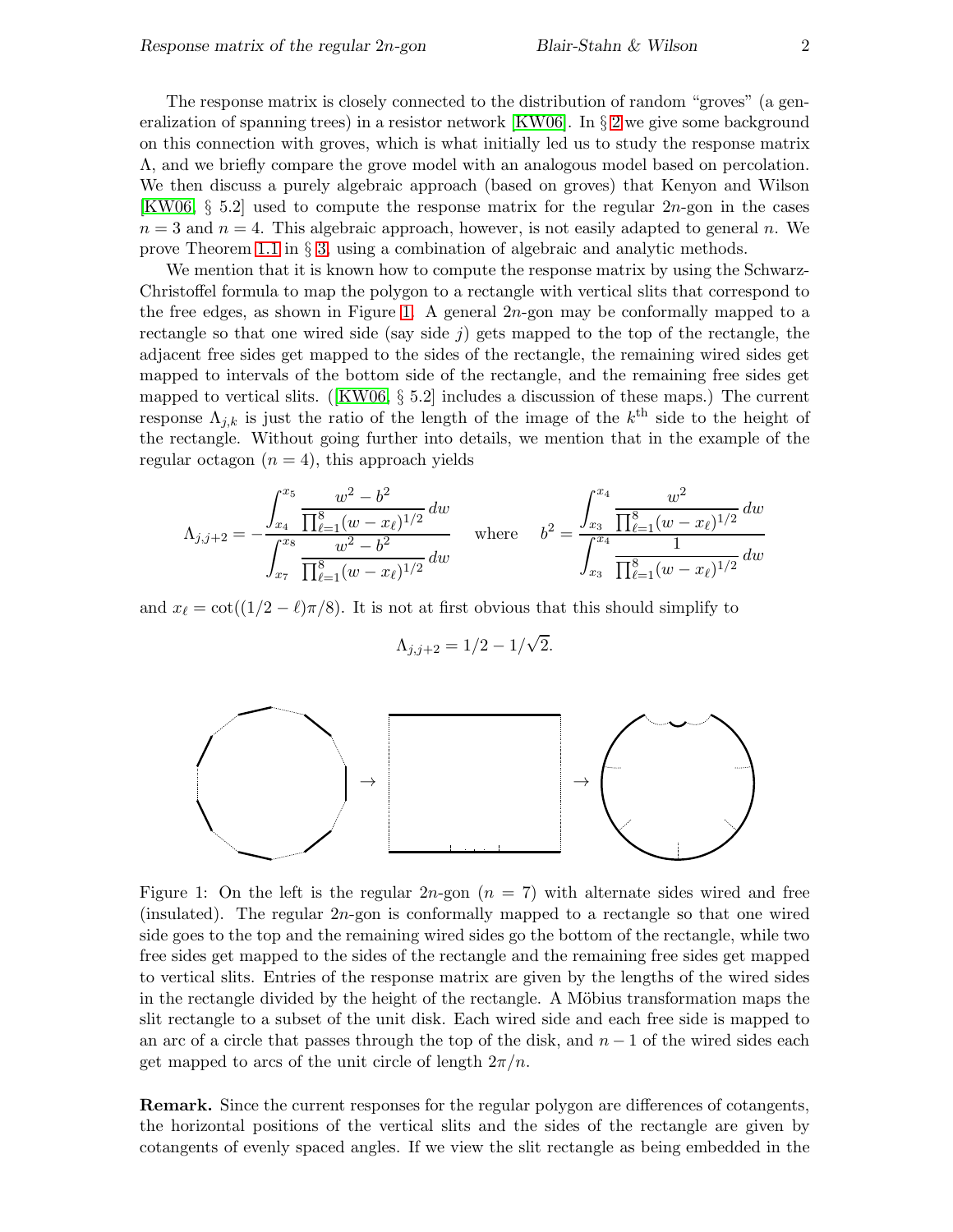The response matrix is closely connected to the distribution of random "groves" (a generalization of spanning trees) in a resistor network [\[KW06\]](#page-9-3). In § [2](#page-2-0) we give some background on this connection with groves, which is what initially led us to study the response matrix Λ, and we briefly compare the grove model with an analogous model based on percolation. We then discuss a purely algebraic approach (based on groves) that Kenyon and Wilson [\[KW06,](#page-9-3)  $\S 5.2$ ] used to compute the response matrix for the regular  $2n$ -gon in the cases  $n = 3$  and  $n = 4$ . This algebraic approach, however, is not easily adapted to general n. We prove Theorem [1.1](#page-0-0) in  $\S$  [3,](#page-5-0) using a combination of algebraic and analytic methods.

We mention that it is known how to compute the response matrix by using the Schwarz-Christoffel formula to map the polygon to a rectangle with vertical slits that correspond to the free edges, as shown in Figure [1.](#page-1-0) A general  $2n$ -gon may be conformally mapped to a rectangle so that one wired side (say side  $j$ ) gets mapped to the top of the rectangle, the adjacent free sides get mapped to the sides of the rectangle, the remaining wired sides get mapped to intervals of the bottom side of the rectangle, and the remaining free sides get mapped to vertical slits. ([\[KW06,](#page-9-3) § 5.2] includes a discussion of these maps.) The current response  $\Lambda_{j,k}$  is just the ratio of the length of the image of the  $k^{\text{th}}$  side to the height of the rectangle. Without going further into details, we mention that in the example of the regular octagon  $(n = 4)$ , this approach yields

$$
\Lambda_{j,j+2} = -\frac{\int_{x_4}^{x_5} \frac{w^2 - b^2}{\prod_{\ell=1}^8 (w - x_\ell)^{1/2}} dw}{\int_{x_7}^{x_8} \frac{w^2 - b^2}{\prod_{\ell=1}^8 (w - x_\ell)^{1/2}} dw} \quad \text{where} \quad b^2 = \frac{\int_{x_3}^{x_4} \frac{w^2}{\prod_{\ell=1}^8 (w - x_\ell)^{1/2}} dw}{\int_{x_3}^{x_4} \frac{1}{\prod_{\ell=1}^8 (w - x_\ell)^{1/2}} dw}
$$

and  $x_{\ell} = \cot((1/2 - \ell)\pi/8)$ . It is not at first obvious that this should simplify to

$$
\Lambda_{j,j+2}=1/2-1/\sqrt{2}.
$$



<span id="page-1-0"></span>Figure 1: On the left is the regular  $2n$ -gon  $(n = 7)$  with alternate sides wired and free (insulated). The regular 2n-gon is conformally mapped to a rectangle so that one wired side goes to the top and the remaining wired sides go the bottom of the rectangle, while two free sides get mapped to the sides of the rectangle and the remaining free sides get mapped to vertical slits. Entries of the response matrix are given by the lengths of the wired sides in the rectangle divided by the height of the rectangle. A Möbius transformation maps the slit rectangle to a subset of the unit disk. Each wired side and each free side is mapped to an arc of a circle that passes through the top of the disk, and  $n-1$  of the wired sides each get mapped to arcs of the unit circle of length  $2\pi/n$ .

Remark. Since the current responses for the regular polygon are differences of cotangents, the horizontal positions of the vertical slits and the sides of the rectangle are given by cotangents of evenly spaced angles. If we view the slit rectangle as being embedded in the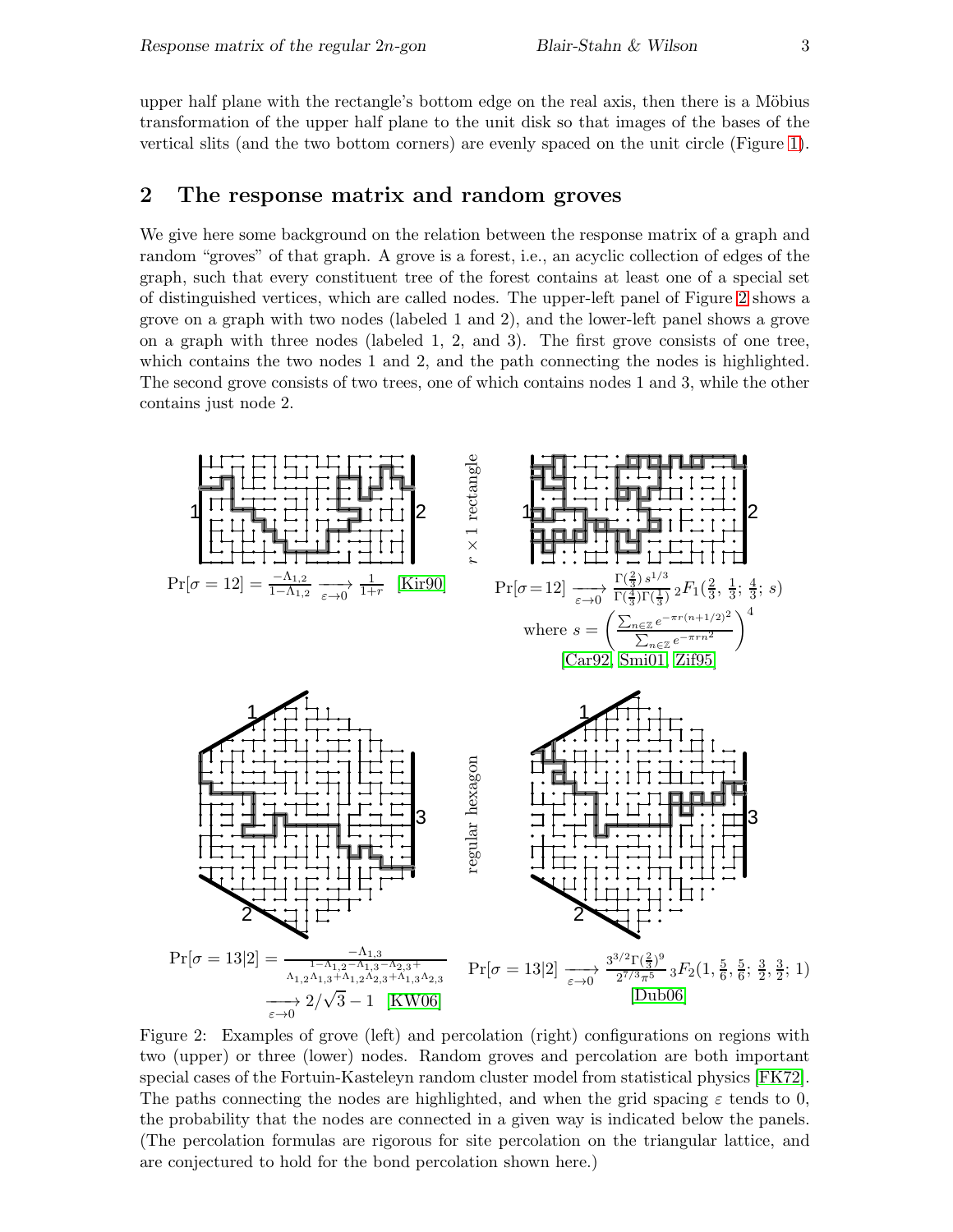upper half plane with the rectangle's bottom edge on the real axis, then there is a Möbius transformation of the upper half plane to the unit disk so that images of the bases of the vertical slits (and the two bottom corners) are evenly spaced on the unit circle (Figure [1\)](#page-1-0).

## <span id="page-2-0"></span>2 The response matrix and random groves

We give here some background on the relation between the response matrix of a graph and random "groves" of that graph. A grove is a forest, i.e., an acyclic collection of edges of the graph, such that every constituent tree of the forest contains at least one of a special set of distinguished vertices, which are called nodes. The upper-left panel of Figure [2](#page-2-1) shows a grove on a graph with two nodes (labeled 1 and 2), and the lower-left panel shows a grove on a graph with three nodes (labeled 1, 2, and 3). The first grove consists of one tree, which contains the two nodes 1 and 2, and the path connecting the nodes is highlighted. The second grove consists of two trees, one of which contains nodes 1 and 3, while the other contains just node 2.



<span id="page-2-1"></span>Figure 2: Examples of grove (left) and percolation (right) configurations on regions with two (upper) or three (lower) nodes. Random groves and percolation are both important special cases of the Fortuin-Kasteleyn random cluster model from statistical physics [\[FK72\]](#page-9-8). The paths connecting the nodes are highlighted, and when the grid spacing  $\varepsilon$  tends to 0, the probability that the nodes are connected in a given way is indicated below the panels. (The percolation formulas are rigorous for site percolation on the triangular lattice, and are conjectured to hold for the bond percolation shown here.)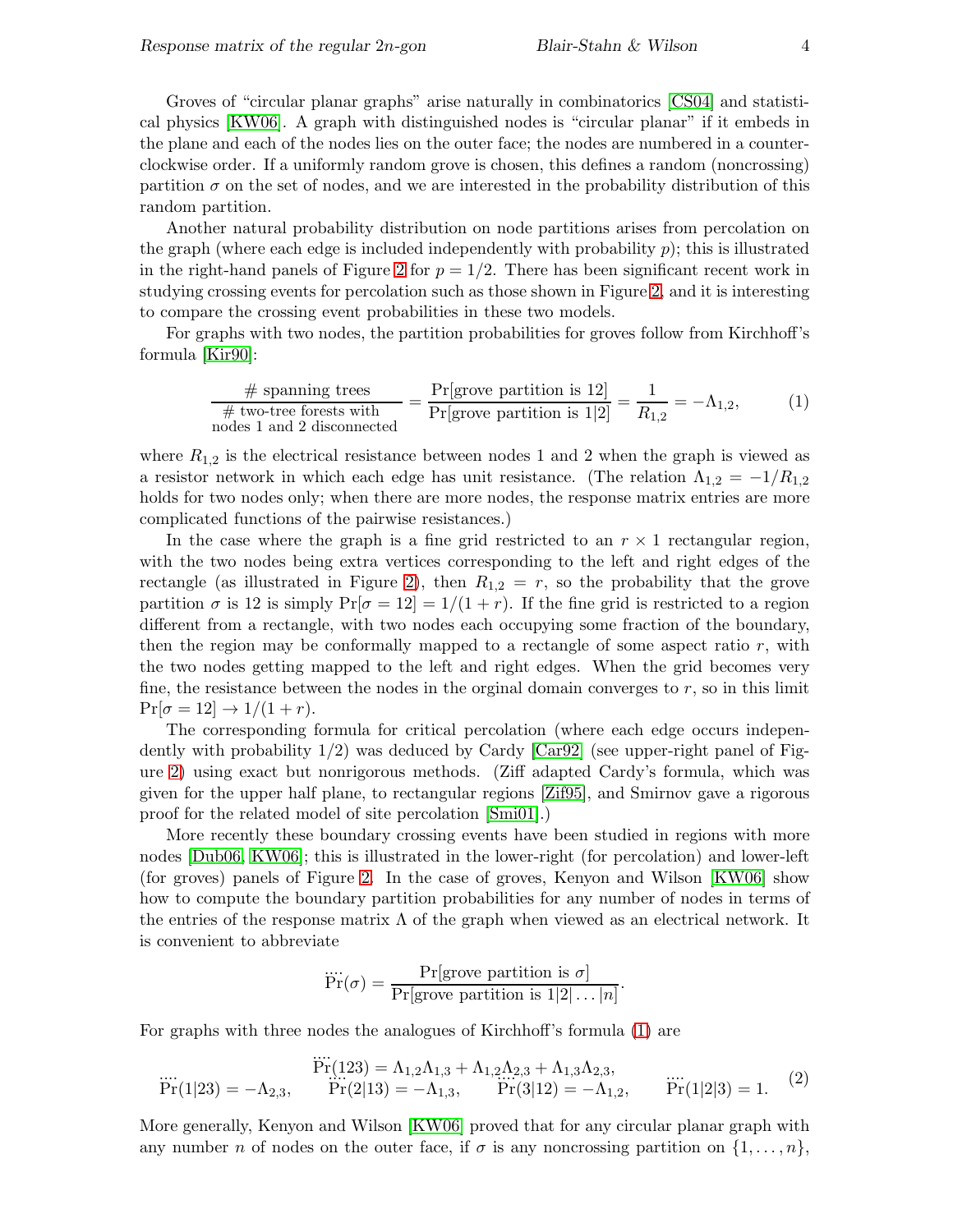Groves of "circular planar graphs" arise naturally in combinatorics [\[CS04\]](#page-9-9) and statistical physics [\[KW06\]](#page-9-3). A graph with distinguished nodes is "circular planar" if it embeds in the plane and each of the nodes lies on the outer face; the nodes are numbered in a counterclockwise order. If a uniformly random grove is chosen, this defines a random (noncrossing) partition  $\sigma$  on the set of nodes, and we are interested in the probability distribution of this random partition.

Another natural probability distribution on node partitions arises from percolation on the graph (where each edge is included independently with probability  $p$ ); this is illustrated in the right-hand panels of Figure [2](#page-2-1) for  $p = 1/2$ . There has been significant recent work in studying crossing events for percolation such as those shown in Figure [2,](#page-2-1) and it is interesting to compare the crossing event probabilities in these two models.

For graphs with two nodes, the partition probabilities for groves follow from Kirchhoff's formula [\[Kir90\]](#page-9-6):

<span id="page-3-0"></span>
$$
\frac{\text{\# spanning trees}}{\text{\# two-tree forests with}} = \frac{\Pr[\text{grove partition is 12}]}{\Pr[\text{grove partition is 1|2}]} = \frac{1}{R_{1,2}} = -\Lambda_{1,2},\tag{1}
$$
\nnodes 1 and 2 disconnected

where  $R_{1,2}$  is the electrical resistance between nodes 1 and 2 when the graph is viewed as a resistor network in which each edge has unit resistance. (The relation  $\Lambda_{1,2} = -1/R_{1,2}$ holds for two nodes only; when there are more nodes, the response matrix entries are more complicated functions of the pairwise resistances.)

In the case where the graph is a fine grid restricted to an  $r \times 1$  rectangular region, with the two nodes being extra vertices corresponding to the left and right edges of the rectangle (as illustrated in Figure [2\)](#page-2-1), then  $R_{1,2} = r$ , so the probability that the grove partition  $\sigma$  is 12 is simply  $Pr[\sigma = 12] = 1/(1+r)$ . If the fine grid is restricted to a region different from a rectangle, with two nodes each occupying some fraction of the boundary, then the region may be conformally mapped to a rectangle of some aspect ratio  $r$ , with the two nodes getting mapped to the left and right edges. When the grid becomes very fine, the resistance between the nodes in the orginal domain converges to  $r$ , so in this limit  $Pr[\sigma = 12] \rightarrow 1/(1+r).$ 

The corresponding formula for critical percolation (where each edge occurs independently with probability  $1/2$ ) was deduced by Cardy [\[Car92\]](#page-8-1) (see upper-right panel of Figure [2\)](#page-2-1) using exact but nonrigorous methods. (Ziff adapted Cardy's formula, which was given for the upper half plane, to rectangular regions [\[Zif95\]](#page-9-5), and Smirnov gave a rigorous proof for the related model of site percolation [\[Smi01\]](#page-9-4).)

More recently these boundary crossing events have been studied in regions with more nodes [\[Dub06,](#page-9-7) [KW06\]](#page-9-3); this is illustrated in the lower-right (for percolation) and lower-left (for groves) panels of Figure [2.](#page-2-1) In the case of groves, Kenyon and Wilson [\[KW06\]](#page-9-3) show how to compute the boundary partition probabilities for any number of nodes in terms of the entries of the response matrix  $\Lambda$  of the graph when viewed as an electrical network. It is convenient to abbreviate

$$
\dddot{\Pr}(\sigma) = \frac{\Pr[\text{grove partition is } \sigma]}{\Pr[\text{grove partition is } 1|2| \dots |n]}.
$$

For graphs with three nodes the analogues of Kirchhoff's formula [\(1\)](#page-3-0) are

<span id="page-3-1"></span>
$$
\dddot{Pr}(1|23) = -\Lambda_{2,3}, \qquad \dddot{Pr}(2|13) = -\Lambda_{1,3}, \qquad \dddot{Pr}(3|12) = -\Lambda_{1,2}, \qquad \dddot{Pr}(1|2|3) = 1. \tag{2}
$$

More generally, Kenyon and Wilson [\[KW06\]](#page-9-3) proved that for any circular planar graph with any number n of nodes on the outer face, if  $\sigma$  is any noncrossing partition on  $\{1,\ldots,n\}$ ,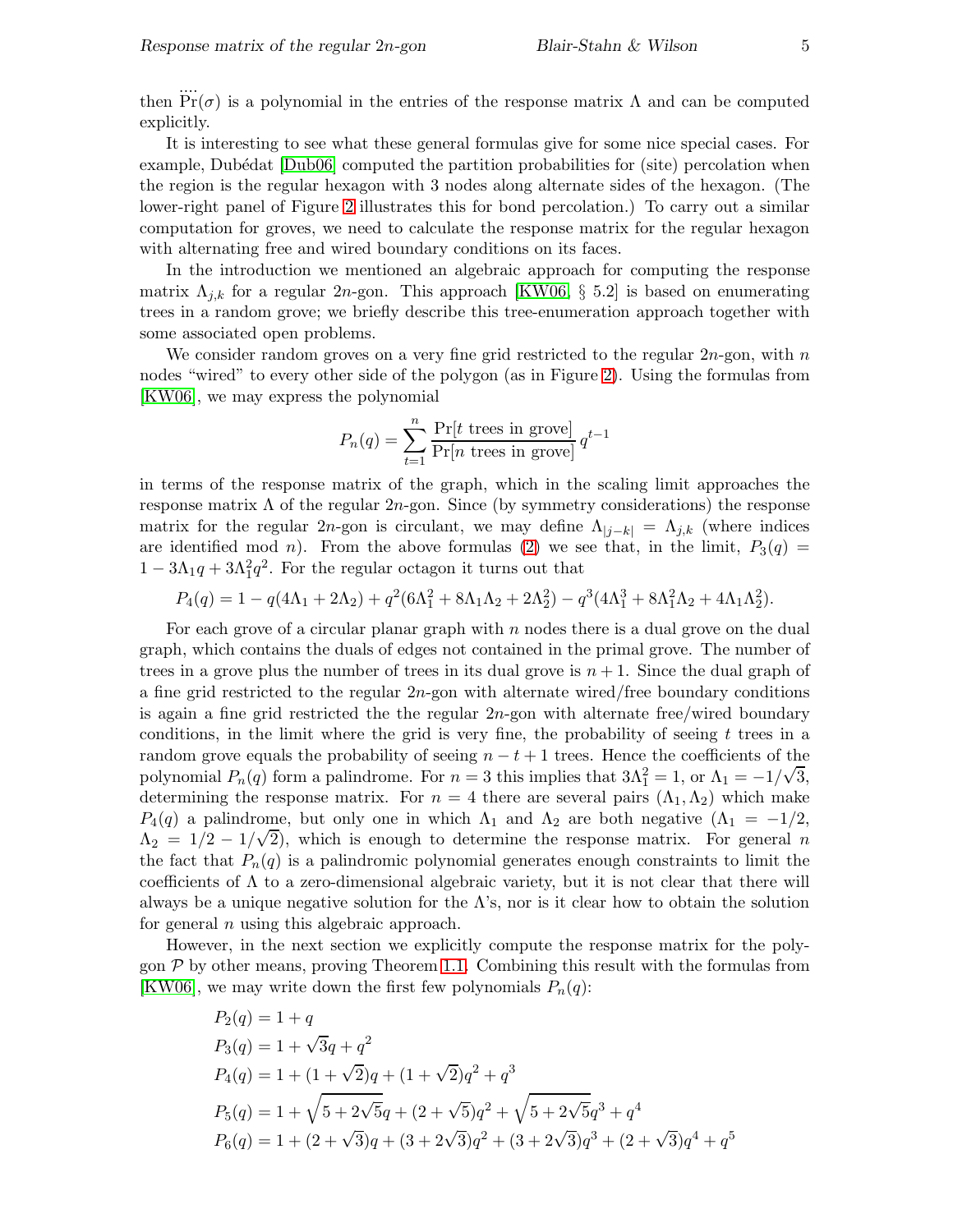It is interesting to see what these general formulas give for some nice special cases. For example, Dubédat [\[Dub06\]](#page-9-7) computed the partition probabilities for (site) percolation when the region is the regular hexagon with 3 nodes along alternate sides of the hexagon. (The lower-right panel of Figure [2](#page-2-1) illustrates this for bond percolation.) To carry out a similar computation for groves, we need to calculate the response matrix for the regular hexagon with alternating free and wired boundary conditions on its faces.

In the introduction we mentioned an algebraic approach for computing the response matrix  $\Lambda_{i,k}$  for a regular 2n-gon. This approach [\[KW06,](#page-9-3) § 5.2] is based on enumerating trees in a random grove; we briefly describe this tree-enumeration approach together with some associated open problems.

We consider random groves on a very fine grid restricted to the regular  $2n$ -gon, with n nodes "wired" to every other side of the polygon (as in Figure [2\)](#page-2-1). Using the formulas from [\[KW06\]](#page-9-3), we may express the polynomial

$$
P_n(q) = \sum_{t=1}^n \frac{\Pr[t \text{ trees in grove}]}{\Pr[n \text{ trees in grove}]} q^{t-1}
$$

in terms of the response matrix of the graph, which in the scaling limit approaches the response matrix  $\Lambda$  of the regular  $2n$ -gon. Since (by symmetry considerations) the response matrix for the regular 2n-gon is circulant, we may define  $\Lambda_{j-k} = \Lambda_{j,k}$  (where indices are identified mod n). From the above formulas [\(2\)](#page-3-1) we see that, in the limit,  $P_3(q)$  =  $1 - 3\Lambda_1 q + 3\Lambda_1^2 q^2$ . For the regular octagon it turns out that

$$
P_4(q) = 1 - q(4\Lambda_1 + 2\Lambda_2) + q^2(6\Lambda_1^2 + 8\Lambda_1\Lambda_2 + 2\Lambda_2^2) - q^3(4\Lambda_1^3 + 8\Lambda_1^2\Lambda_2 + 4\Lambda_1\Lambda_2^2).
$$

For each grove of a circular planar graph with  $n$  nodes there is a dual grove on the dual graph, which contains the duals of edges not contained in the primal grove. The number of trees in a grove plus the number of trees in its dual grove is  $n + 1$ . Since the dual graph of a fine grid restricted to the regular  $2n$ -gon with alternate wired/free boundary conditions is again a fine grid restricted the the regular  $2n$ -gon with alternate free/wired boundary conditions, in the limit where the grid is very fine, the probability of seeing t trees in a random grove equals the probability of seeing  $n - t + 1$  trees. Hence the coefficients of the polynomial  $P_n(q)$  form a palindrome. For  $n = 3$  this implies that  $3\Lambda_1^2 = 1$ , or  $\Lambda_1 = -1/\sqrt{3}$ , determining the response matrix. For  $n = 4$  there are several pairs  $(\Lambda_1, \Lambda_2)$  which make  $P_4(q)$  a palindrome, but only one in which  $\Lambda_1$  and  $\Lambda_2$  are both negative  $(\Lambda_1 = -1/2,$  $\Lambda_2 = 1/2 - 1/\sqrt{2}$ , which is enough to determine the response matrix. For general n the fact that  $P_n(q)$  is a palindromic polynomial generates enough constraints to limit the coefficients of  $\Lambda$  to a zero-dimensional algebraic variety, but it is not clear that there will always be a unique negative solution for the  $\Lambda$ 's, nor is it clear how to obtain the solution for general  $n$  using this algebraic approach.

However, in the next section we explicitly compute the response matrix for the polygon  $P$  by other means, proving Theorem [1.1.](#page-0-0) Combining this result with the formulas from [\[KW06\]](#page-9-3), we may write down the first few polynomials  $P_n(q)$ :

$$
P_2(q) = 1 + q
$$
  
\n
$$
P_3(q) = 1 + \sqrt{3}q + q^2
$$
  
\n
$$
P_4(q) = 1 + (1 + \sqrt{2})q + (1 + \sqrt{2})q^2 + q^3
$$
  
\n
$$
P_5(q) = 1 + \sqrt{5 + 2\sqrt{5}}q + (2 + \sqrt{5})q^2 + \sqrt{5 + 2\sqrt{5}}q^3 + q^4
$$
  
\n
$$
P_6(q) = 1 + (2 + \sqrt{3})q + (3 + 2\sqrt{3})q^2 + (3 + 2\sqrt{3})q^3 + (2 + \sqrt{3})q^4 + q^5
$$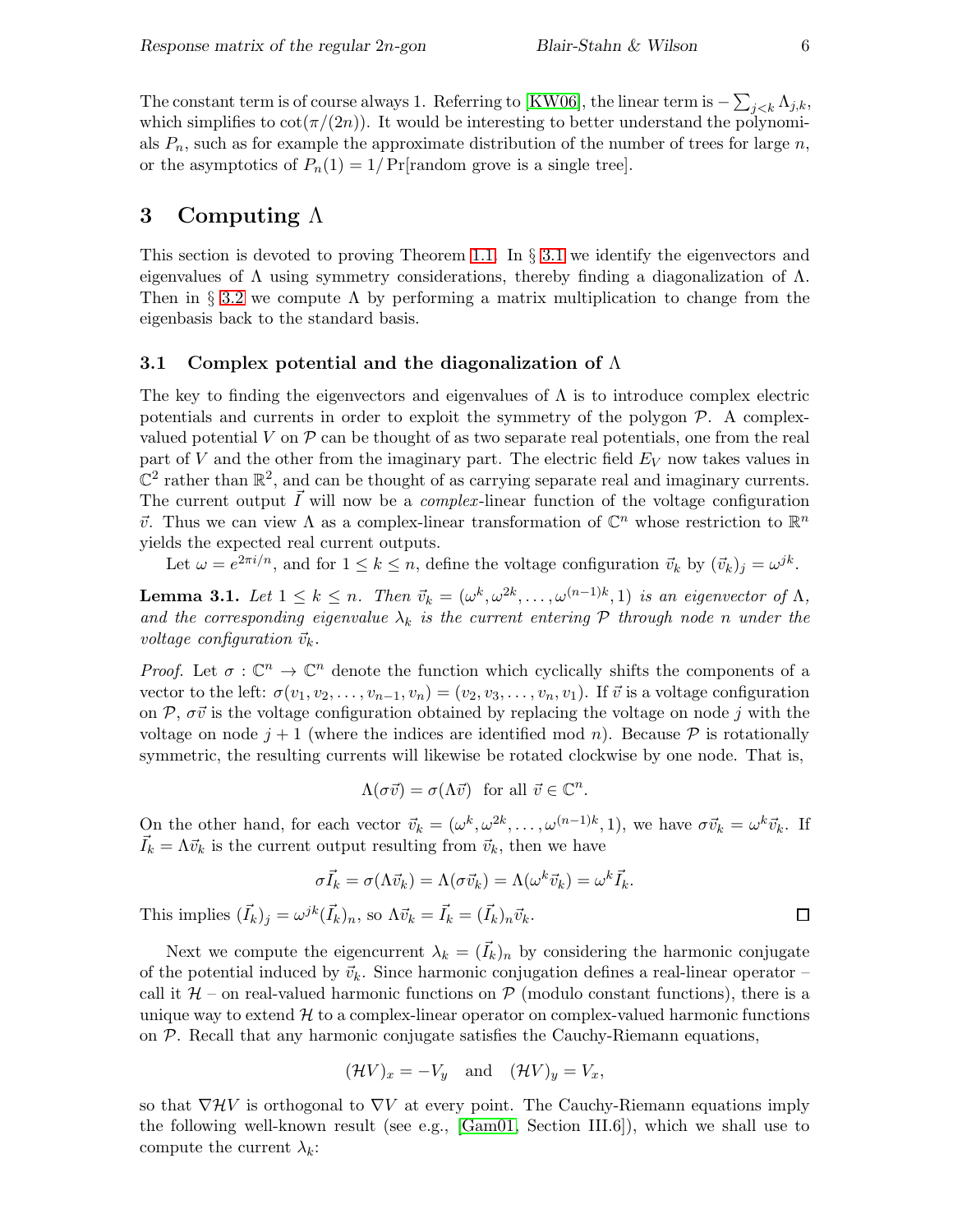The constant term is of course always 1. Referring to [\[KW06\]](#page-9-3), the linear term is  $-\sum_{j < k} \Lambda_{j,k}$ , which simplifies to  $\cot(\pi/(2n))$ . It would be interesting to better understand the polynomials  $P_n$ , such as for example the approximate distribution of the number of trees for large n, or the asymptotics of  $P_n(1) = 1/Pr$ [random grove is a single tree].

## <span id="page-5-0"></span>3 Computing  $\Lambda$

This section is devoted to proving Theorem [1.1.](#page-0-0) In  $\S 3.1$  $\S 3.1$  we identify the eigenvectors and eigenvalues of  $\Lambda$  using symmetry considerations, thereby finding a diagonalization of  $\Lambda$ . Then in § [3.2](#page-7-0) we compute  $\Lambda$  by performing a matrix multiplication to change from the eigenbasis back to the standard basis.

#### <span id="page-5-1"></span>3.1 Complex potential and the diagonalization of  $\Lambda$

The key to finding the eigenvectors and eigenvalues of  $\Lambda$  is to introduce complex electric potentials and currents in order to exploit the symmetry of the polygon  $P$ . A complexvalued potential V on  $P$  can be thought of as two separate real potentials, one from the real part of V and the other from the imaginary part. The electric field  $E_V$  now takes values in  $\mathbb{C}^2$  rather than  $\mathbb{R}^2$ , and can be thought of as carrying separate real and imaginary currents. The current output  $\vec{I}$  will now be a *complex*-linear function of the voltage configuration  $\vec{v}$ . Thus we can view Λ as a complex-linear transformation of  $\mathbb{C}^n$  whose restriction to  $\mathbb{R}^n$ yields the expected real current outputs.

Let  $\omega = e^{2\pi i/n}$ , and for  $1 \leq k \leq n$ , define the voltage configuration  $\vec{v}_k$  by  $(\vec{v}_k)_j = \omega^{jk}$ .

<span id="page-5-2"></span>**Lemma 3.1.** Let  $1 \leq k \leq n$ . Then  $\vec{v}_k = (\omega^k, \omega^{2k}, \dots, \omega^{(n-1)k}, 1)$  is an eigenvector of  $\Lambda$ , and the corresponding eigenvalue  $\lambda_k$  is the current entering  $P$  through node n under the voltage configuration  $\vec{v}_k$ .

*Proof.* Let  $\sigma : \mathbb{C}^n \to \mathbb{C}^n$  denote the function which cyclically shifts the components of a vector to the left:  $\sigma(v_1, v_2, \ldots, v_{n-1}, v_n) = (v_2, v_3, \ldots, v_n, v_1)$ . If  $\vec{v}$  is a voltage configuration on P,  $\sigma\vec{v}$  is the voltage configuration obtained by replacing the voltage on node j with the voltage on node  $j+1$  (where the indices are identified mod n). Because  $\mathcal P$  is rotationally symmetric, the resulting currents will likewise be rotated clockwise by one node. That is,

$$
\Lambda(\sigma \vec{v}) = \sigma(\Lambda \vec{v}) \text{ for all } \vec{v} \in \mathbb{C}^n.
$$

On the other hand, for each vector  $\vec{v}_k = (\omega^k, \omega^{2k}, \dots, \omega^{(n-1)k}, 1)$ , we have  $\sigma \vec{v}_k = \omega^k \vec{v}_k$ . If  $\vec{I}_k = \Lambda \vec{v}_k$  is the current output resulting from  $\vec{v}_k$ , then we have

$$
\sigma \vec{I}_k = \sigma(\Lambda \vec{v}_k) = \Lambda(\sigma \vec{v}_k) = \Lambda(\omega^k \vec{v}_k) = \omega^k \vec{I}_k.
$$
  
This implies  $(\vec{I}_k)_j = \omega^{jk} (\vec{I}_k)_n$ , so  $\Lambda \vec{v}_k = \vec{I}_k = (\vec{I}_k)_n \vec{v}_k$ .

Next we compute the eigencurrent  $\lambda_k = (\vec{I}_k)_n$  by considering the harmonic conjugate of the potential induced by  $\vec{v}_k$ . Since harmonic conjugation defines a real-linear operator – call it  $H$  – on real-valued harmonic functions on  $P$  (modulo constant functions), there is a unique way to extend  $\mathcal{H}$  to a complex-linear operator on complex-valued harmonic functions on  $P$ . Recall that any harmonic conjugate satisfies the Cauchy-Riemann equations,

$$
(\mathcal{H}V)_x = -V_y \quad \text{and} \quad (\mathcal{H}V)_y = V_x,
$$

so that  $\nabla \mathcal{H} V$  is orthogonal to  $\nabla V$  at every point. The Cauchy-Riemann equations imply the following well-known result (see e.g., [\[Gam01,](#page-9-10) Section III.6]), which we shall use to compute the current  $\lambda_k$ :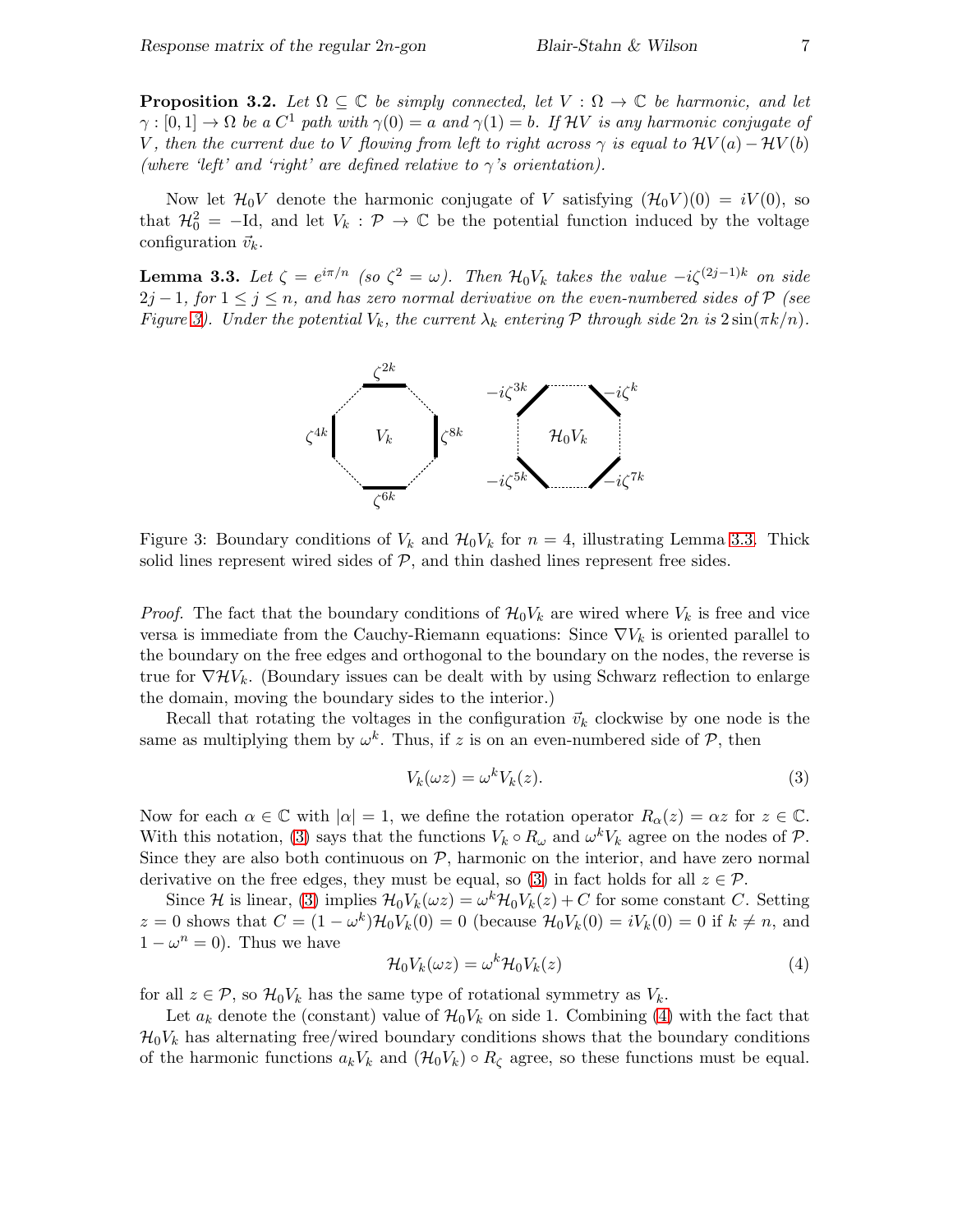<span id="page-6-4"></span>**Proposition 3.2.** Let  $\Omega \subseteq \mathbb{C}$  be simply connected, let  $V : \Omega \to \mathbb{C}$  be harmonic, and let  $\gamma : [0,1] \to \Omega$  be a  $C^1$  path with  $\gamma(0) = a$  and  $\gamma(1) = b$ . If HV is any harmonic conjugate of V, then the current due to V flowing from left to right across  $\gamma$  is equal to  $\mathcal{H}V(a) - \mathcal{H}V(b)$ (where 'left' and 'right' are defined relative to  $\gamma$ 's orientation).

Now let  $\mathcal{H}_0 V$  denote the harmonic conjugate of V satisfying  $(\mathcal{H}_0 V)(0) = iV(0)$ , so that  $\mathcal{H}_0^2 = -Id$ , and let  $V_k : \mathcal{P} \to \mathbb{C}$  be the potential function induced by the voltage configuration  $\vec{v}_k$ .

<span id="page-6-1"></span>**Lemma 3.3.** Let  $\zeta \equiv e^{i\pi/n}$  (so  $\zeta^2 = \omega$ ). Then  $\mathcal{H}_0 V_k$  takes the value  $-i\zeta^{(2j-1)k}$  on side  $2j = 1$ , for  $1 \leq j \leq n$ , and has zero normal derivative on the even-numbered sides of P (see Figure [3\)](#page-6-0). Under the potential  $V_k$ , the current  $\lambda_k$  entering  $P$  through side  $2n$  is  $2\sin(\pi k/n)$ . PSfrag replacements



<span id="page-6-0"></span>Figure 3: Boundary conditions of  $V_k$  and  $\mathcal{H}_0 V_k$  for  $n = 4$ , illustrating Lemma [3.3.](#page-6-1) Thick solid lines represent wired sides of  $P$ , and thin dashed lines represent free sides.

*Proof.* The fact that the boundary conditions of  $\mathcal{H}_0V_k$  are wired where  $V_k$  is free and vice versa is immediate from the Cauchy-Riemann equations: Since  $\nabla V_k$  is oriented parallel to the boundary on the free edges and orthogonal to the boundary on the nodes, the reverse is true for  $\nabla \mathcal{H} V_k$ . (Boundary issues can be dealt with by using Schwarz reflection to enlarge the domain, moving the boundary sides to the interior.)

Recall that rotating the voltages in the configuration  $\vec{v}_k$  clockwise by one node is the same as multiplying them by  $\omega^k$ . Thus, if z is on an even-numbered side of  $P$ , then

<span id="page-6-2"></span>
$$
V_k(\omega z) = \omega^k V_k(z). \tag{3}
$$

Now for each  $\alpha \in \mathbb{C}$  with  $|\alpha|=1$ , we define the rotation operator  $R_{\alpha}(z)=\alpha z$  for  $z \in \mathbb{C}$ . With this notation, [\(3\)](#page-6-2) says that the functions  $V_k \circ R_\omega$  and  $\omega^k V_k$  agree on the nodes of  $\mathcal{P}$ . Since they are also both continuous on  $P$ , harmonic on the interior, and have zero normal derivative on the free edges, they must be equal, so [\(3\)](#page-6-2) in fact holds for all  $z \in \mathcal{P}$ .

Since H is linear, [\(3\)](#page-6-2) implies  $\mathcal{H}_0 V_k(\omega z) = \omega^k \mathcal{H}_0 V_k(z) + C$  for some constant C. Setting z = 0 shows that  $C = (1 - \omega^k) \mathcal{H}_0 V_k(0) = 0$  (because  $\mathcal{H}_0 V_k(0) = iV_k(0) = 0$  if  $k \neq n$ , and  $1 - \omega^n = 0$ ). Thus we have

<span id="page-6-3"></span>
$$
\mathcal{H}_0 V_k(\omega z) = \omega^k \mathcal{H}_0 V_k(z)
$$
\n(4)

for all  $z \in \mathcal{P}$ , so  $\mathcal{H}_0 V_k$  has the same type of rotational symmetry as  $V_k$ .

Let  $a_k$  denote the (constant) value of  $\mathcal{H}_0V_k$  on side 1. Combining [\(4\)](#page-6-3) with the fact that  $\mathcal{H}_0V_k$  has alternating free/wired boundary conditions shows that the boundary conditions of the harmonic functions  $a_kV_k$  and  $(\mathcal{H}_0V_k) \circ R_\zeta$  agree, so these functions must be equal.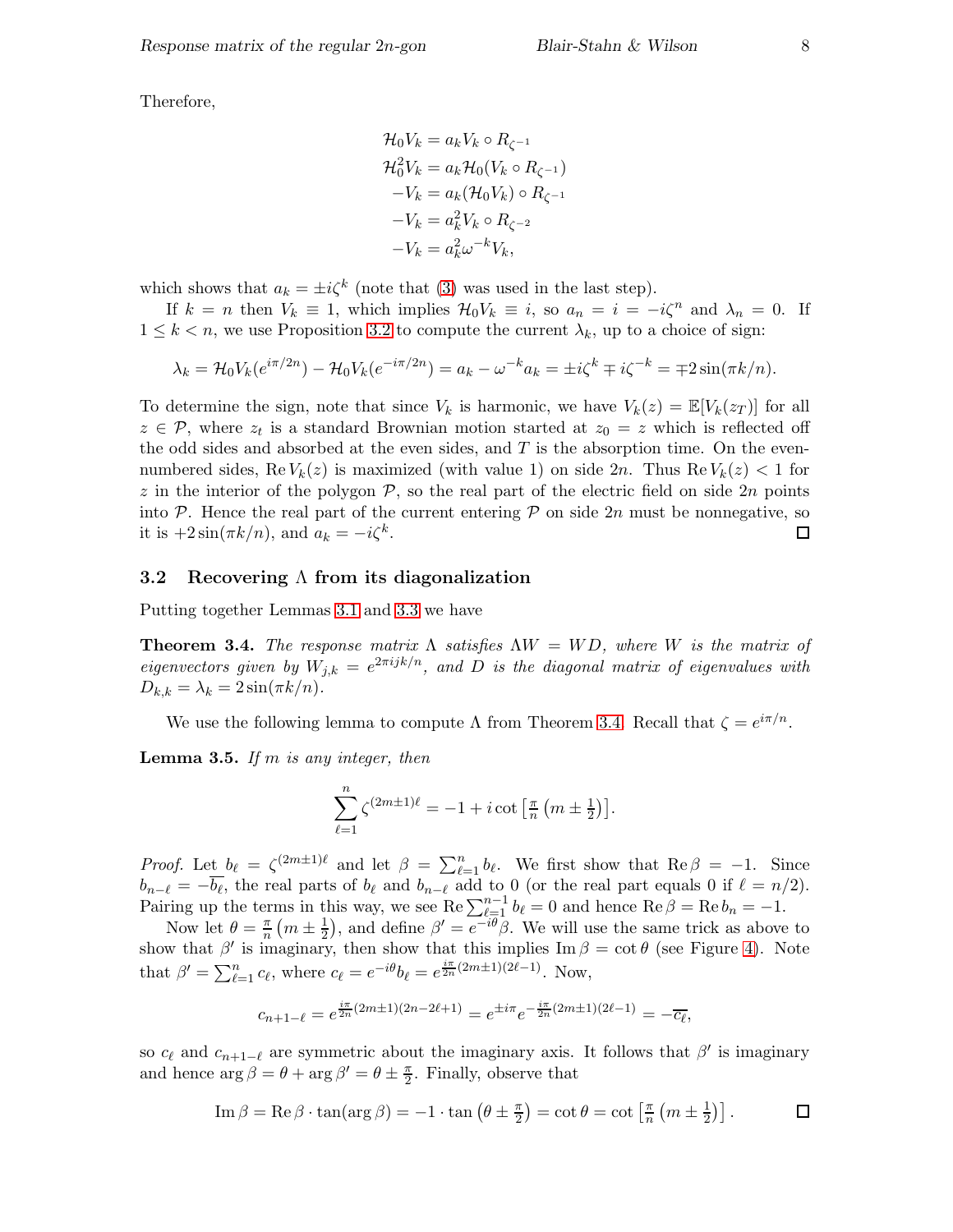Therefore,

$$
\mathcal{H}_0 V_k = a_k V_k \circ R_{\zeta^{-1}}
$$
  
\n
$$
\mathcal{H}_0^2 V_k = a_k \mathcal{H}_0 (V_k \circ R_{\zeta^{-1}})
$$
  
\n
$$
-V_k = a_k (\mathcal{H}_0 V_k) \circ R_{\zeta^{-1}}
$$
  
\n
$$
-V_k = a_k^2 V_k \circ R_{\zeta^{-2}}
$$
  
\n
$$
-V_k = a_k^2 \omega^{-k} V_k,
$$

which shows that  $a_k = \pm i\zeta^k$  (note that [\(3\)](#page-6-2) was used in the last step).

If  $k = n$  then  $V_k \equiv 1$ , which implies  $\mathcal{H}_0 V_k \equiv i$ , so  $a_n = i = -i\zeta^n$  and  $\lambda_n = 0$ . If  $1 \leq k < n$ , we use Proposition [3.2](#page-6-4) to compute the current  $\lambda_k$ , up to a choice of sign:

$$
\lambda_k = \mathcal{H}_0 V_k (e^{i\pi/2n}) - \mathcal{H}_0 V_k (e^{-i\pi/2n}) = a_k - \omega^{-k} a_k = \pm i\zeta^k \mp i\zeta^{-k} = \mp 2\sin(\pi k/n).
$$

To determine the sign, note that since  $V_k$  is harmonic, we have  $V_k(z) = \mathbb{E}[V_k(z_T)]$  for all  $z \in \mathcal{P}$ , where  $z_t$  is a standard Brownian motion started at  $z_0 = z$  which is reflected off the odd sides and absorbed at the even sides, and  $T$  is the absorption time. On the evennumbered sides, Re  $V_k(z)$  is maximized (with value 1) on side 2n. Thus Re  $V_k(z) < 1$  for z in the interior of the polygon  $P$ , so the real part of the electric field on side  $2n$  points into P. Hence the real part of the current entering P on side 2n must be nonnegative, so it is  $+2\sin(\pi k/n)$ , and  $a_k = -i\zeta^k$ . it is  $+2\sin(\pi k/n)$ , and  $a_k = -i\zeta^k$ .

#### <span id="page-7-0"></span>3.2 Recovering  $\Lambda$  from its diagonalization

Putting together Lemmas [3.1](#page-5-2) and [3.3](#page-6-1) we have

<span id="page-7-1"></span>**Theorem 3.4.** The response matrix  $\Lambda$  satisfies  $\Lambda W = WD$ , where W is the matrix of eigenvectors given by  $W_{j,k} = e^{2\pi i j k/n}$ , and D is the diagonal matrix of eigenvalues with  $D_{k,k} = \lambda_k = 2 \sin(\pi k/n).$ 

We use the following lemma to compute  $\Lambda$  from Theorem [3.4.](#page-7-1) Recall that  $\zeta = e^{i\pi/n}$ .

<span id="page-7-2"></span>**Lemma 3.5.** If m is any integer, then

$$
\sum_{\ell=1}^n \zeta^{(2m\pm 1)\ell} = -1 + i \cot\left[\frac{\pi}{n}\left(m \pm \frac{1}{2}\right)\right].
$$

*Proof.* Let  $b_{\ell} = \zeta^{(2m\pm 1)\ell}$  and let  $\beta = \sum_{\ell=1}^{n} b_{\ell}$ . We first show that  $\text{Re}\,\beta = -1$ . Since  $b_{n-\ell} = -b_{\ell}$ , the real parts of  $b_{\ell}$  and  $b_{n-\ell}$  add to 0 (or the real part equals 0 if  $\ell = n/2$ ). Pairing up the terms in this way, we see  $\text{Re }\sum_{\ell=1}^{n-1} b_{\ell} = 0$  and hence  $\text{Re }\beta = \text{Re }b_n = -1$ .

Now let  $\theta = \frac{\pi}{n}$  $\frac{\pi}{n}$   $\left(m\pm\frac{1}{2}\right)$  $(\frac{1}{2})$ , and define  $\beta' = e^{-i\theta}\beta$ . We will use the same trick as above to show that  $\beta'$  is imaginary, then show that this implies  $\text{Im }\beta = \cot \theta$  (see Figure [4\)](#page-8-2). Note that  $\beta' = \sum_{\ell=1}^n c_\ell$ , where  $c_\ell = e^{-i\theta} b_\ell = e^{\frac{i\pi}{2n}(2m\pm 1)(2\ell-1)}$ . Now,

$$
c_{n+1-\ell} = e^{\frac{i\pi}{2n}(2m\pm 1)(2n-2\ell+1)} = e^{\pm i\pi}e^{-\frac{i\pi}{2n}(2m\pm 1)(2\ell-1)} = -\overline{c_{\ell}},
$$

so  $c_{\ell}$  and  $c_{n+1-\ell}$  are symmetric about the imaginary axis. It follows that  $\beta'$  is imaginary and hence  $\arg \beta = \theta + \arg \beta' = \theta \pm \frac{\pi}{2}$  $\frac{\pi}{2}$ . Finally, observe that

Im 
$$
\beta = \text{Re }\beta \cdot \tan(\arg \beta) = -1 \cdot \tan (\theta \pm \frac{\pi}{2}) = \cot \theta = \cot \left[\frac{\pi}{n} \left(m \pm \frac{1}{2}\right)\right].
$$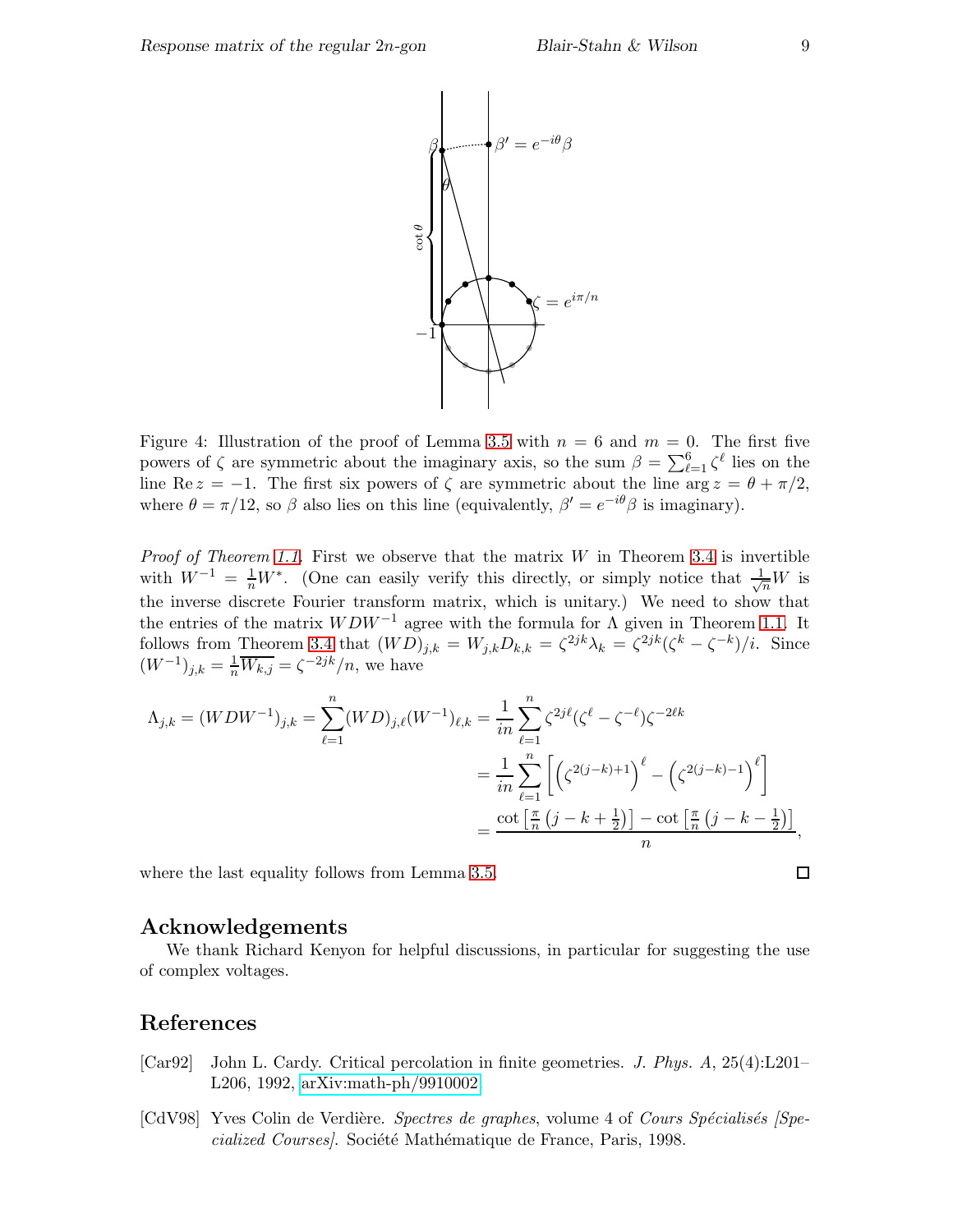

<span id="page-8-2"></span>Figure 4: Illustration of the proof of Lemma [3.5](#page-7-2) with  $n = 6$  and  $m = 0$ . The first five powers of ζ are symmetric about the imaginary axis, so the sum  $β = \sum_{\ell=1}^{6} ζ^{\ell}$  lies on the line Re  $z = -1$ . The first six powers of  $\zeta$  are symmetric about the line arg  $z = \theta + \pi/2$ , where  $\theta = \pi/12$ , so  $\beta$  also lies on this line (equivalently,  $\beta' = e^{-i\theta}\beta$  is imaginary).

*Proof of Theorem [1.1.](#page-0-0)* First we observe that the matrix  $W$  in Theorem [3.4](#page-7-1) is invertible with  $W^{-1} = \frac{1}{n}W^*$ . (One can easily verify this directly, or simply notice that  $\frac{1}{\sqrt{n}}W$  is the inverse discrete Fourier transform matrix, which is unitary.) We need to show that the entries of the matrix  $WDW^{-1}$  agree with the formula for  $\Lambda$  given in Theorem [1.1.](#page-0-0) It follows from Theorem [3.4](#page-7-1) that  $(WD)_{j,k} = W_{j,k}D_{k,k} = \zeta^{2jk}\lambda_k = \zeta^{2jk}(\zeta^k - \zeta^{-k})/i$ . Since  $(W^{-1})_{j,k} = \frac{1}{n} \overline{W_{k,j}} = \zeta^{-2jk}/n$ , we have

$$
\Lambda_{j,k} = (WDW^{-1})_{j,k} = \sum_{\ell=1}^{n} (WD)_{j,\ell}(W^{-1})_{\ell,k} = \frac{1}{in} \sum_{\ell=1}^{n} \zeta^{2j\ell} (\zeta^{\ell} - \zeta^{-\ell}) \zeta^{-2\ell k}
$$
  

$$
= \frac{1}{in} \sum_{\ell=1}^{n} \left[ \left( \zeta^{2(j-k)+1} \right)^{\ell} - \left( \zeta^{2(j-k)-1} \right)^{\ell} \right]
$$
  

$$
= \frac{\cot \left[ \frac{\pi}{n} \left( j - k + \frac{1}{2} \right) \right] - \cot \left[ \frac{\pi}{n} \left( j - k - \frac{1}{2} \right) \right]}{n},
$$

where the last equality follows from Lemma [3.5.](#page-7-2)

#### Acknowledgements

We thank Richard Kenyon for helpful discussions, in particular for suggesting the use of complex voltages.

### References

- <span id="page-8-1"></span>[Car92] John L. Cardy. Critical percolation in finite geometries. J. Phys. A, 25(4):L201– L206, 1992, [arXiv:math-ph/9910002.](http://arxiv.org/abs/math-ph/9910002)
- <span id="page-8-0"></span>[CdV98] Yves Colin de Verdière. Spectres de graphes, volume 4 of Cours Spécialisés [Specialized Courses). Société Mathématique de France, Paris, 1998.

 $\Box$